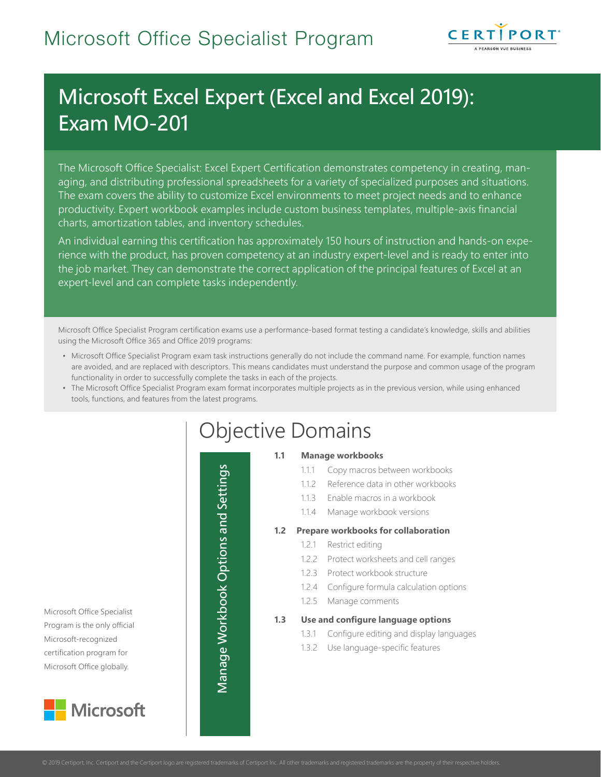

# Microsoft Excel Expert (Excel and Excel 2019): Exam MO-201

The Microsoft Office Specialist: Excel Expert Certification demonstrates competency in creating, managing, and distributing professional spreadsheets for a variety of specialized purposes and situations. The exam covers the ability to customize Excel environments to meet project needs and to enhance productivity. Expert workbook examples include custom business templates, multiple-axis financial charts, amortization tables, and inventory schedules.

An individual earning this certification has approximately 150 hours of instruction and hands-on experience with the product, has proven competency at an industry expert-level and is ready to enter into the job market. They can demonstrate the correct application of the principal features of Excel at an expert-level and can complete tasks independently.

Microsoft Office Specialist Program certification exams use a performance-based format testing a candidate's knowledge, skills and abilities using the Microsoft Office 365 and Office 2019 programs:

- Microsoft Office Specialist Program exam task instructions generally do not include the command name. For example, function names are avoided, and are replaced with descriptors. This means candidates must understand the purpose and common usage of the program functionality in order to successfully complete the tasks in each of the projects.
- The Microsoft Office Specialist Program exam format incorporates multiple projects as in the previous version, while using enhanced tools, functions, and features from the latest programs.

Microsoft Office Specialist Program is the only official Microsoft-recognized certification program for Microsoft Office globally.



# Objective Domains

 $\frac{5}{2}$ Worksheets

 $\overline{\mathbf{P}}$ 

Manage Workbook Options and Settings

and

#### **1.1 Manage workbooks**

- 1.1.1 Copy macros between workbooks
- 1.1.2 Reference data in other workbooks
- 1.1.3 Enable macros in a workbook
- 1.1.4 Manage workbook versions

#### **1.2 Prepare workbooks for collaboration**

- 1.2.1 Restrict editing
- 1.2.2 Protect worksheets and cell ranges
- 1.2.3 Protect workbook structure
- 1.2.4 Configure formula calculation options
- 1.2.5 Manage comments

#### **1.3 Use and configure language options**

- 1.3.1 Configure editing and display languages
- 1.3.2 Use language-specific features